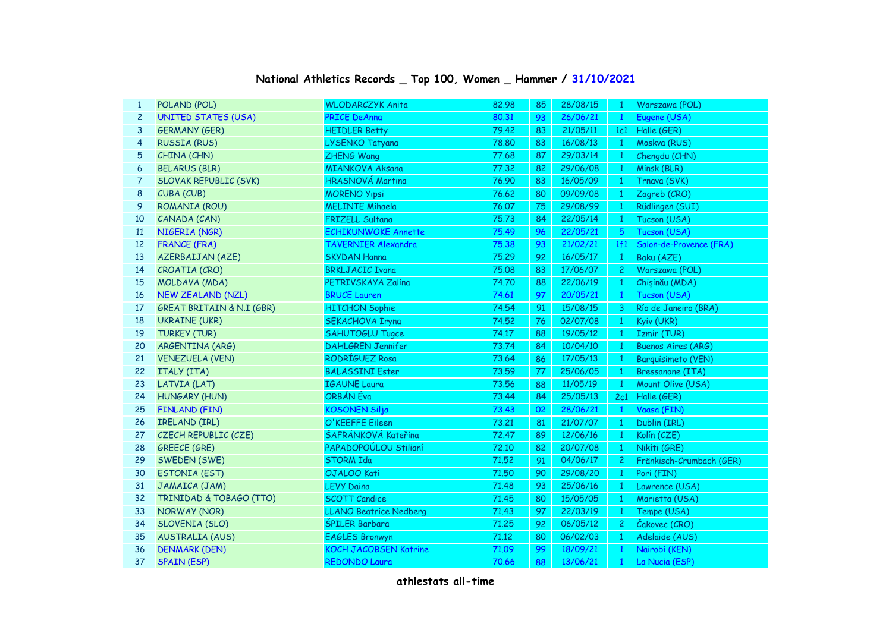## **National Athletics Records \_ Top 100, Women \_ Hammer / 31/10/2021**

| $\mathbf{1}$   | POLAND (POL)                 | <b>WLODARCZYK Anita</b>       | 82.98 | 85 | 28/08/15 | $\mathbf{1}$   | Warszawa (POL)            |
|----------------|------------------------------|-------------------------------|-------|----|----------|----------------|---------------------------|
| $\overline{c}$ | <b>UNITED STATES (USA)</b>   | <b>PRICE DeAnna</b>           | 80.31 | 93 | 26/06/21 | $\mathbf{1}$   | Eugene (USA)              |
| 3              | <b>GERMANY (GER)</b>         | <b>HEIDLER Betty</b>          | 79.42 | 83 | 21/05/11 | 1c1            | Halle (GER)               |
| 4              | <b>RUSSIA (RUS)</b>          | LYSENKO Tatyana               | 78.80 | 83 | 16/08/13 | $\mathbf{1}$   | Moskva (RUS)              |
| 5              | CHINA (CHN)                  | ZHENG Wang                    | 77.68 | 87 | 29/03/14 | $\mathbf{1}$   | Chengdu (CHN)             |
| 6              | <b>BELARUS (BLR)</b>         | <b>MIANKOVA Aksana</b>        | 77.32 | 82 | 29/06/08 | $\mathbf{1}$   | Minsk (BLR)               |
| 7              | <b>SLOVAK REPUBLIC (SVK)</b> | <b>HRASNOVÁ Martina</b>       | 76.90 | 83 | 16/05/09 | -1             | Trnava (SVK)              |
| 8              | CUBA (CUB)                   | <b>MORENO Yipsi</b>           | 76.62 | 80 | 09/09/08 | $\mathbf{1}$   | Zagreb (CRO)              |
| 9              | ROMANIA (ROU)                | <b>MELINTE Mihaela</b>        | 76.07 | 75 | 29/08/99 | $\mathbf{1}$   | Rüdlingen (SUI)           |
| 10             | CANADA (CAN)                 | <b>FRIZELL Sultana</b>        | 75.73 | 84 | 22/05/14 | $\mathbf{1}$   | Tucson (USA)              |
| 11             | NIGERIA (NGR)                | <b>ECHIKUNWOKE Annette</b>    | 75.49 | 96 | 22/05/21 | 5              | Tucson (USA)              |
| 12             | <b>FRANCE (FRA)</b>          | <b>TAVERNIER Alexandra</b>    | 75.38 | 93 | 21/02/21 | 1f1            | Salon-de-Provence (FRA)   |
| 13             | AZERBAIJAN (AZE)             | <b>SKYDAN Hanna</b>           | 75.29 | 92 | 16/05/17 | $\overline{1}$ | Baku (AZE)                |
| 14             | CROATIA (CRO)                | <b>BRKLJACIC Ivana</b>        | 75.08 | 83 | 17/06/07 | $\mathbf{2}$   | Warszawa (POL)            |
| 15             | MOLDAVA (MDA)                | PETRIVSKAYA Zalina            | 74.70 | 88 | 22/06/19 | $\mathbf{1}$   | Chișinău (MDA)            |
| 16             | <b>NEW ZEALAND (NZL)</b>     | <b>BRUCE Lauren</b>           | 74.61 | 97 | 20/05/21 | $\mathbf{1}$   | Tucson (USA)              |
| 17             | GREAT BRITAIN & N.I (GBR)    | <b>HITCHON Sophie</b>         | 74.54 | 91 | 15/08/15 | 3              | Río de Janeiro (BRA)      |
| 18             | <b>UKRAINE (UKR)</b>         | <b>SEKACHOVA Iryna</b>        | 74.52 | 76 | 02/07/08 | $\mathbf{1}$   | Kyiv (UKR)                |
| 19             | <b>TURKEY (TUR)</b>          | <b>SAHUTOGLU Tugce</b>        | 74.17 | 88 | 19/05/12 | $\mathbf{1}$   | Izmir (TUR)               |
| 20             | ARGENTINA (ARG)              | <b>DAHLGREN Jennifer</b>      | 73.74 | 84 | 10/04/10 | $\mathbf{1}$   | <b>Buenos Aires (ARG)</b> |
| 21             | <b>VENEZUELA (VEN)</b>       | RODRÍGUEZ Rosa                | 73.64 | 86 | 17/05/13 | $\mathbf{1}$   | <b>Barquisimeto (VEN)</b> |
| 22             | ITALY (ITA)                  | <b>BALASSINI Ester</b>        | 73.59 | 77 | 25/06/05 | $\mathbf{1}$   | <b>Bressanone (ITA)</b>   |
| 23             | LATVIA (LAT)                 | <b>IGAUNE Laura</b>           | 73.56 | 88 | 11/05/19 | $\overline{1}$ | Mount Olive (USA)         |
| 24             | <b>HUNGARY (HUN)</b>         | ORBÁN Éva                     | 73.44 | 84 | 25/05/13 | 2c1            | Halle (GER)               |
| 25             | <b>FINLAND (FIN)</b>         | <b>KOSONEN Silja</b>          | 73.43 | 02 | 28/06/21 | $\overline{1}$ | Vaasa (FIN)               |
| 26             | IRELAND (IRL)                | O'KEEFFE Eileen               | 73.21 | 81 | 21/07/07 | $\overline{1}$ | Dublin (IRL)              |
| 27             | CZECH REPUBLIC (CZE)         | ŠAFRÁNKOVÁ Kateřina           | 72.47 | 89 | 12/06/16 | $\overline{1}$ | Kolín (CZE)               |
| 28             | <b>GREECE (GRE)</b>          | PAPADOPOÚLOU Stilianí         | 72.10 | 82 | 20/07/08 | $\overline{1}$ | Nikíti (GRE)              |
| 29             | SWEDEN (SWE)                 | <b>STORM Ida</b>              | 71.52 | 91 | 04/06/17 | $\mathbf{2}$   | Fränkisch-Crumbach (GER)  |
| 30             | <b>ESTONIA (EST)</b>         | OJALOO Kati                   | 71,50 | 90 | 29/08/20 | $\overline{1}$ | Pori (FIN)                |
| 31             | JAMAICA (JAM)                | <b>LEVY Daina</b>             | 71.48 | 93 | 25/06/16 | $\mathbf{1}$   | Lawrence (USA)            |
| 32             | TRINIDAD & TOBAGO (TTO)      | <b>SCOTT Candice</b>          | 71.45 | 80 | 15/05/05 | $\overline{1}$ | Marietta (USA)            |
| 33             | NORWAY (NOR)                 | <b>LLANO Beatrice Nedberg</b> | 71.43 | 97 | 22/03/19 | $\mathbf{1}$   | Tempe (USA)               |
| 34             | SLOVENIA (SLO)               | <b>ŠPILER Barbara</b>         | 71.25 | 92 | 06/05/12 | $\overline{2}$ | Čakovec (CRO)             |
| 35             | <b>AUSTRALIA (AUS)</b>       | <b>EAGLES Bronwyn</b>         | 71.12 | 80 | 06/02/03 | $\mathbf{1}$   | Adelaide (AUS)            |
| 36             | <b>DENMARK (DEN)</b>         | <b>KOCH JACOBSEN Katrine</b>  | 71.09 | 99 | 18/09/21 | $\mathbf{1}$   | Nairobi (KEN)             |
| 37             | <b>SPAIN (ESP)</b>           | <b>REDONDO Laura</b>          | 70.66 | 88 | 13/06/21 | $\mathbf{1}$   | La Nucia (ESP)            |
|                |                              |                               |       |    |          |                |                           |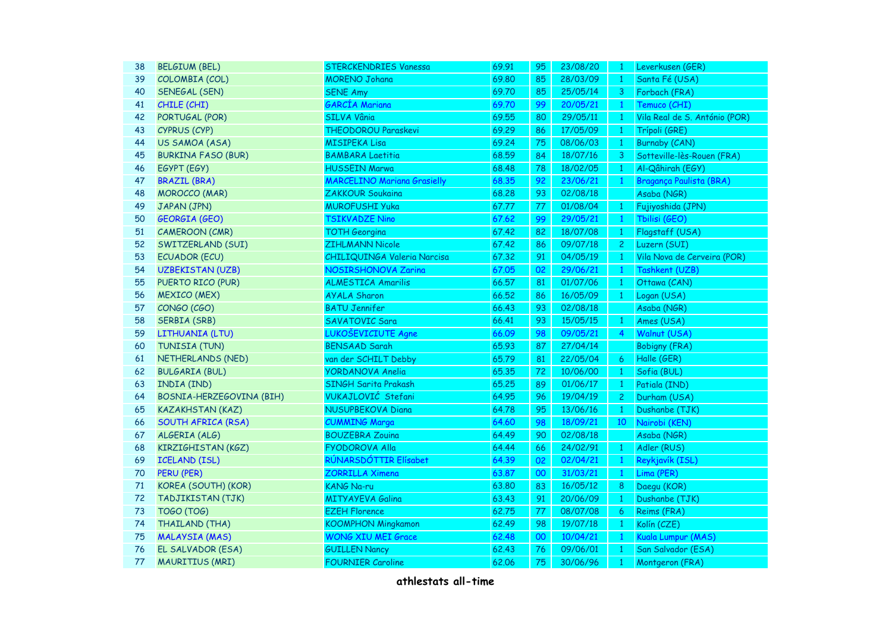| 38 | <b>BELGIUM (BEL)</b>      | STERCKENDRIES Vanessa              | 69.91 | 95              | 23/08/20 | $\mathbf{1}$    | Leverkusen (GER)              |
|----|---------------------------|------------------------------------|-------|-----------------|----------|-----------------|-------------------------------|
| 39 | COLOMBIA (COL)            | <b>MORENO Johana</b>               | 69.80 | 85              | 28/03/09 | $\overline{1}$  | Santa Fé (USA)                |
| 40 | SENEGAL (SEN)             | <b>SENE Amy</b>                    | 69.70 | 85              | 25/05/14 | 3               | Forbach (FRA)                 |
| 41 | CHILE (CHI)               | <b>GARCÍA Mariana</b>              | 69.70 | 99              | 20/05/21 | $\mathbf{1}$    | Temuco (CHI)                  |
| 42 | PORTUGAL (POR)            | SILVA Vânia                        | 69.55 | 80              | 29/05/11 | $\mathbf{1}$    | Vila Real de S. António (POR) |
| 43 | CYPRUS (CYP)              | <b>THEODOROU Paraskevi</b>         | 69.29 | 86              | 17/05/09 | $\mathbf{1}$    | Trípoli (GRE)                 |
| 44 | US SAMOA (ASA)            | <b>MISIPEKA Lisa</b>               | 69.24 | 75              | 08/06/03 | $\mathbf{1}$    | <b>Burnaby (CAN)</b>          |
| 45 | <b>BURKINA FASO (BUR)</b> | <b>BAMBARA Laetitia</b>            | 68.59 | 84              | 18/07/16 | 3               | Sotteville-lès-Rouen (FRA)    |
| 46 | EGYPT (EGY)               | <b>HUSSEIN Marwa</b>               | 68.48 | 78              | 18/02/05 | $\overline{1}$  | Al-Qâhirah (EGY)              |
| 47 | <b>BRAZIL (BRA)</b>       | <b>MARCELINO Mariana Grasielly</b> | 68.35 | 92              | 23/06/21 | $\mathbf{1}$    | Bragança Paulista (BRA)       |
| 48 | <b>MOROCCO (MAR)</b>      | <b>ZAKKOUR Soukaina</b>            | 68,28 | 93              | 02/08/18 |                 | Asaba (NGR)                   |
| 49 | JAPAN (JPN)               | <b>MUROFUSHI Yuka</b>              | 67.77 | 77              | 01/08/04 | $\mathbf{1}$    | Fujiyoshida (JPN)             |
| 50 | <b>GEORGIA (GEO)</b>      | <b>TSIKVADZE Nino</b>              | 67.62 | 99              | 29/05/21 | $\mathbf{1}$    | Tbilisi (GEO)                 |
| 51 | <b>CAMEROON (CMR)</b>     | <b>TOTH Georgina</b>               | 67.42 | 82              | 18/07/08 | $\mathbf{1}$    | Flagstaff (USA)               |
| 52 | SWITZERLAND (SUI)         | ZIHLMANN Nicole                    | 67.42 | 86              | 09/07/18 | 2 <sup>1</sup>  | Luzern (SUI)                  |
| 53 | <b>ECUADOR (ECU)</b>      | CHILIQUINGA Valeria Narcisa        | 67.32 | 91              | 04/05/19 | $\mathbf{1}$    | Vila Nova de Cerveira (POR)   |
| 54 | <b>UZBEKISTAN (UZB)</b>   | NOSIRSHONOVA Zarina                | 67.05 | 02              | 29/06/21 | $\mathbf{1}$    | Tashkent (UZB)                |
| 55 | PUERTO RICO (PUR)         | <b>ALMESTICA Amarilis</b>          | 66.57 | 81              | 01/07/06 | $\overline{1}$  | Ottawa (CAN)                  |
| 56 | <b>MEXICO (MEX)</b>       | <b>AYALA Sharon</b>                | 66.52 | 86              | 16/05/09 | $\mathbf{1}$    | Logan (USA)                   |
| 57 | CONGO (CGO)               | <b>BATU Jennifer</b>               | 66.43 | 93              | 02/08/18 |                 | Asaba (NGR)                   |
| 58 | SERBIA (SRB)              | SAVATOVIC Sara                     | 66.41 | 93              | 15/05/15 | $\vert 1 \vert$ | Ames (USA)                    |
| 59 | LITHUANIA (LTU)           | LUKOŠEVICIUTE Agne                 | 66.09 | 98              | 09/05/21 | 4               | Walnut (USA)                  |
| 60 | TUNISIA (TUN)             | <b>BENSAAD Sarah</b>               | 65.93 | 87              | 27/04/14 |                 | <b>Bobigny (FRA)</b>          |
| 61 | NETHERLANDS (NED)         | van der SCHILT Debby               | 65.79 | 81              | 22/05/04 | 6               | Halle (GER)                   |
| 62 | <b>BULGARIA (BUL)</b>     | <b>YORDANOVA Anelia</b>            | 65.35 | 72              | 10/06/00 | $\overline{1}$  | Sofia (BUL)                   |
| 63 | INDIA (IND)               | <b>SINGH Sarita Prakash</b>        | 65,25 | 89              | 01/06/17 | $\mathbf{1}$    | Patiala (IND)                 |
| 64 | BOSNIA-HERZEGOVINA (BIH)  | VUKAJLOVIĆ Stefani                 | 64.95 | 96              | 19/04/19 | $\overline{c}$  | Durham (USA)                  |
| 65 | <b>KAZAKHSTAN (KAZ)</b>   | <b>NUSUPBEKOVA Diana</b>           | 64.78 | 95              | 13/06/16 | $\mathbf{1}$    | Dushanbe (TJK)                |
| 66 | <b>SOUTH AFRICA (RSA)</b> | <b>CUMMING Marga</b>               | 64.60 | 98              | 18/09/21 | 10              | Nairobi (KEN)                 |
| 67 | ALGERIA (ALG)             | <b>BOUZEBRA Zouina</b>             | 64.49 | 90              | 02/08/18 |                 | Asaba (NGR)                   |
| 68 | KIRZIGHISTAN (KGZ)        | <b>FYODOROVA Alla</b>              | 64.44 | 66              | 24/02/91 | $\mathbf{1}$    | Adler (RUS)                   |
| 69 | <b>ICELAND (ISL)</b>      | RÚNARSDÓTTIR Elísabet              | 64.39 | 02              | 02/04/21 | $\overline{1}$  | Reykjavík (ISL)               |
| 70 | <b>PERU (PER)</b>         | <b>ZORRILLA Ximena</b>             | 63.87 | 00              | 31/03/21 | $\overline{1}$  | Lima (PER)                    |
| 71 | KOREA (SOUTH) (KOR)       | KANG Na-ru                         | 63.80 | 83              | 16/05/12 | 8               | Daegu (KOR)                   |
| 72 | TADJIKISTAN (TJK)         | <b>MITYAYEVA Galina</b>            | 63.43 | 91              | 20/06/09 | $\mathbf{1}$    | Dushanbe (TJK)                |
| 73 | <b>TOGO (TOG)</b>         | <b>EZEH Florence</b>               | 62.75 | 77              | 08/07/08 | 6               | Reims (FRA)                   |
| 74 | THAILAND (THA)            | <b>KOOMPHON Mingkamon</b>          | 62.49 | 98              | 19/07/18 | $\mathbf{1}$    | Kolín (CZE)                   |
| 75 | <b>MALAYSIA (MAS)</b>     | <b>WONG XIU MEI Grace</b>          | 62.48 | 00 <sub>o</sub> | 10/04/21 | $\mathbf{1}$    | Kuala Lumpur (MAS)            |
| 76 | EL SALVADOR (ESA)         | <b>GUILLEN Nancy</b>               | 62.43 | 76              | 09/06/01 | $\mathbf{1}$    | San Salvador (ESA)            |
| 77 | <b>MAURITIUS (MRI)</b>    | <b>FOURNIER Caroline</b>           | 62.06 | 75              | 30/06/96 | $\mathbf{1}$    | Montgeron (FRA)               |